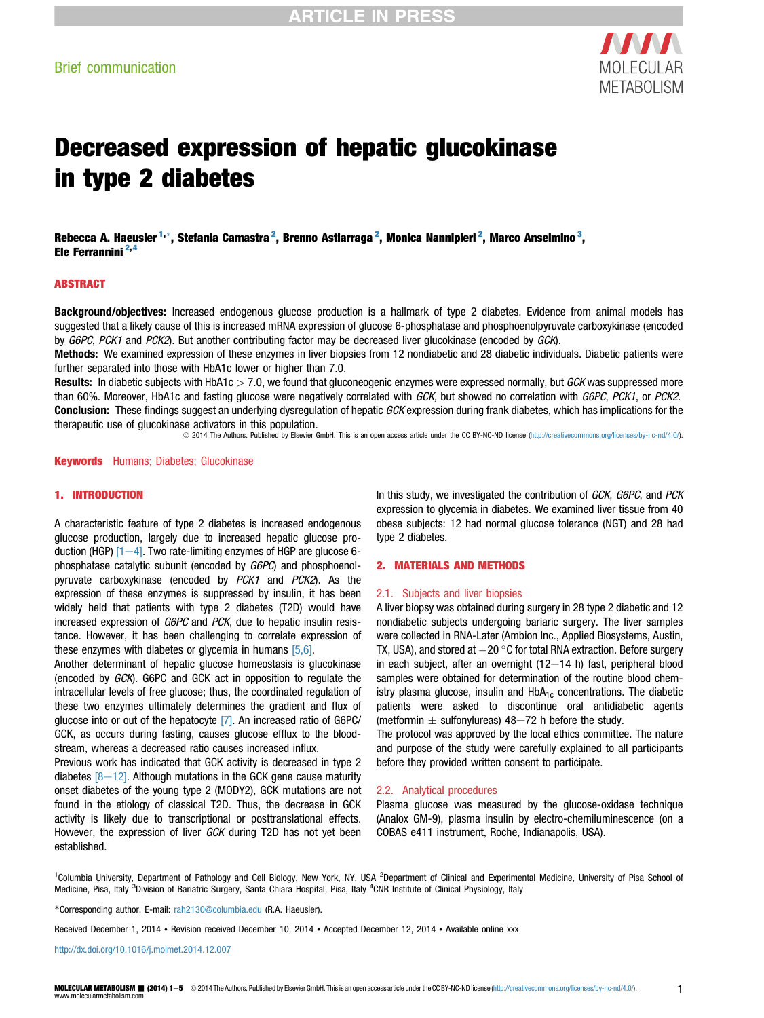

# Decreased expression of hepatic glucokinase in type 2 diabetes

Rebecca A. Haeusler <sup>1,</sup>\*, Stefania Camastra <sup>2</sup>, Brenno Astiarraga <sup>2</sup>, Monica Nannipieri <sup>2</sup>, Marco Anselmino <sup>3</sup>, Ele Ferrannini 2,4

#### ABSTRACT

Background/objectives: Increased endogenous glucose production is a hallmark of type 2 diabetes. Evidence from animal models has suggested that a likely cause of this is increased mRNA expression of glucose 6-phosphatase and phosphoenolpyruvate carboxykinase (encoded by G6PC, PCK1 and PCK2). But another contributing factor may be decreased liver glucokinase (encoded by GCK).

Methods: We examined expression of these enzymes in liver biopsies from 12 nondiabetic and 28 diabetic individuals. Diabetic patients were further separated into those with HbA1c lower or higher than 7.0.

Results: In diabetic subjects with HbA1c  $> 7.0$ , we found that gluconeogenic enzymes were expressed normally, but GCK was suppressed more than 60%. Moreover, HbA1c and fasting glucose were negatively correlated with GCK, but showed no correlation with G6PC, PCK1, or PCK2. Conclusion: These findings suggest an underlying dysregulation of hepatic GCK expression during frank diabetes, which has implications for the therapeutic use of glucokinase activators in this population.

2014 The Authors. Published by Elsevier GmbH. This is an open access article under the CC BY-NC-ND license ([http://creativecommons.org/licenses/by-nc-nd/4.0/\)](http://creativecommons.org/licenses/by-nc-nd/4.0/).

**Keywords** Humans; Diabetes; Glucokinase

#### 1. INTRODUCTION

A characteristic feature of type 2 diabetes is increased endogenous glucose production, largely due to increased hepatic glucose production (HGP)  $[1-4]$  $[1-4]$  $[1-4]$ . Two rate-limiting enzymes of HGP are glucose 6phosphatase catalytic subunit (encoded by G6PC) and phosphoenolpyruvate carboxykinase (encoded by PCK1 and PCK2). As the expression of these enzymes is suppressed by insulin, it has been widely held that patients with type 2 diabetes (T2D) would have increased expression of G6PC and PCK, due to hepatic insulin resistance. However, it has been challenging to correlate expression of these enzymes with diabetes or glycemia in humans [\[5,6\]](#page-3-0).

Another determinant of hepatic glucose homeostasis is glucokinase (encoded by GCK). G6PC and GCK act in opposition to regulate the intracellular levels of free glucose; thus, the coordinated regulation of these two enzymes ultimately determines the gradient and flux of glucose into or out of the hepatocyte [\[7\]](#page-3-0). An increased ratio of G6PC/ GCK, as occurs during fasting, causes glucose efflux to the bloodstream, whereas a decreased ratio causes increased influx.

Previous work has indicated that GCK activity is decreased in type 2 diabetes  $[8-12]$  $[8-12]$ . Although mutations in the GCK gene cause maturity onset diabetes of the young type 2 (MODY2), GCK mutations are not found in the etiology of classical T2D. Thus, the decrease in GCK activity is likely due to transcriptional or posttranslational effects. However, the expression of liver GCK during T2D has not yet been established.

In this study, we investigated the contribution of GCK, G6PC, and PCK expression to glycemia in diabetes. We examined liver tissue from 40 obese subjects: 12 had normal glucose tolerance (NGT) and 28 had type 2 diabetes.

#### 2. MATERIALS AND METHODS

#### 2.1. Subjects and liver biopsies

A liver biopsy was obtained during surgery in 28 type 2 diabetic and 12 nondiabetic subjects undergoing bariaric surgery. The liver samples were collected in RNA-Later (Ambion Inc., Applied Biosystems, Austin, TX, USA), and stored at  $-20$  °C for total RNA extraction. Before surgery in each subject, after an overnight  $(12-14$  h) fast, peripheral blood samples were obtained for determination of the routine blood chemistry plasma glucose, insulin and  $HbA_{1c}$  concentrations. The diabetic patients were asked to discontinue oral antidiabetic agents (metformin  $\pm$  sulfonylureas) 48-72 h before the study.

The protocol was approved by the local ethics committee. The nature and purpose of the study were carefully explained to all participants before they provided written consent to participate.

#### 2.2. Analytical procedures

Plasma glucose was measured by the glucose-oxidase technique (Analox GM-9), plasma insulin by electro-chemiluminescence (on a COBAS e411 instrument, Roche, Indianapolis, USA).

<sup>1</sup>Columbia University, Department of Pathology and Cell Biology, New York, NY, USA <sup>2</sup>Department of Clinical and Experimental Medicine, University of Pisa School of Medicine, Pisa, Italy <sup>3</sup>Division of Bariatric Surgery, Santa Chiara Hospital, Pisa, Italy <sup>4</sup>CNR Institute of Clinical Physiology, Italy

\*Corresponding author. E-mail: [rah2130@columbia.edu](mailto:rah2130@columbia.edu) (R.A. Haeusler).

Received December 1, 2014 • Revision received December 10, 2014 • Accepted December 12, 2014 • Available online xxx

http://dx.doi.org/10.1016/j.molmet.2014.12.007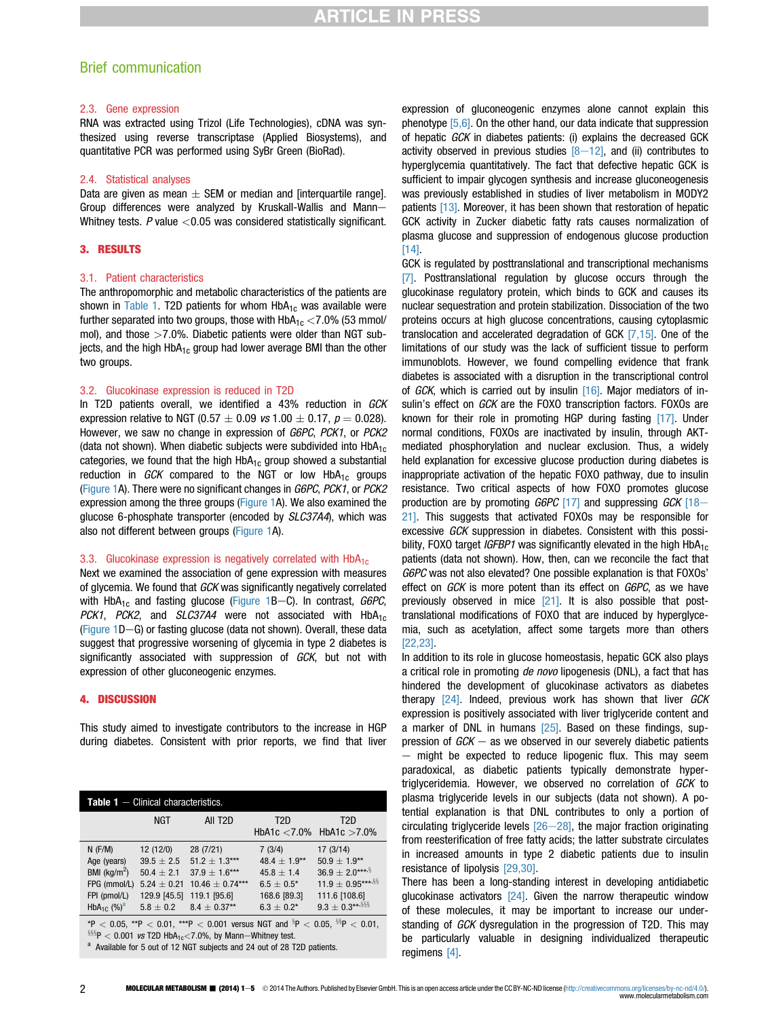### Brief communication

#### 2.3. Gene expression

RNA was extracted using Trizol (Life Technologies), cDNA was synthesized using reverse transcriptase (Applied Biosystems), and quantitative PCR was performed using SyBr Green (BioRad).

#### 2.4. Statistical analyses

Data are given as mean  $\pm$  SEM or median and [interquartile range]. Group differences were analyzed by Kruskall-Wallis and Mann-Whitney tests.  $P$  value  $< 0.05$  was considered statistically significant.

#### 3. RESULTS

#### 3.1. Patient characteristics

The anthropomorphic and metabolic characteristics of the patients are shown in Table 1. T2D patients for whom  $HbA_{1c}$  was available were further separated into two groups, those with  $HbA_{1c} < 7.0\%$  (53 mmol/ mol), and those  $>7.0\%$ . Diabetic patients were older than NGT subjects, and the high HbA<sub>1c</sub> group had lower average BMI than the other two groups.

#### 3.2. Glucokinase expression is reduced in T2D

In T2D patients overall, we identified a 43% reduction in GCK expression relative to NGT (0.57  $\pm$  0.09 vs 1.00  $\pm$  0.17,  $p = 0.028$ ). However, we saw no change in expression of G6PC, PCK1, or PCK2 (data not shown). When diabetic subjects were subdivided into  $HbA_{1c}$ categories, we found that the high  $HbA_{1c}$  group showed a substantial reduction in GCK compared to the NGT or low  $HbA_{1c}$  groups ([Figure 1](#page-2-0)A). There were no significant changes in G6PC, PCK1, or PCK2 expression among the three groups [\(Figure 1](#page-2-0)A). We also examined the glucose 6-phosphate transporter (encoded by SLC37A4), which was also not different between groups ([Figure 1](#page-2-0)A).

#### 3.3. Glucokinase expression is negatively correlated with  $HbA_{1c}$

Next we examined the association of gene expression with measures of glycemia. We found that GCK was significantly negatively correlated with  $HbA_{1c}$  and fasting glucose ([Figure 1](#page-2-0)B-C). In contrast, G6PC, PCK1, PCK2, and SLC37A4 were not associated with  $HbA_{1c}$ ([Figure 1D](#page-2-0)-G) or fasting glucose (data not shown). Overall, these data suggest that progressive worsening of glycemia in type 2 diabetes is significantly associated with suppression of GCK, but not with expression of other gluconeogenic enzymes.

#### 4. DISCUSSION

This study aimed to investigate contributors to the increase in HGP during diabetes. Consistent with prior reports, we find that liver

| <b>Table 1</b> $-$ Clinical characteristics.                                                                                                                                                                                                                           |                                                                                                  |                                                                                                              |                                                                                                   |                                                                                                              |
|------------------------------------------------------------------------------------------------------------------------------------------------------------------------------------------------------------------------------------------------------------------------|--------------------------------------------------------------------------------------------------|--------------------------------------------------------------------------------------------------------------|---------------------------------------------------------------------------------------------------|--------------------------------------------------------------------------------------------------------------|
|                                                                                                                                                                                                                                                                        | <b>NGT</b>                                                                                       | All T <sub>2</sub> D                                                                                         | T2D                                                                                               | T2D<br>HbA1c $<$ 7.0% HbA1c $>$ 7.0%                                                                         |
| $N$ (F/M)<br>Age (years)<br>BMI ( $kg/m2$ )<br>FPG (mmol/L)<br>FPI (pmol/L)<br>HbA <sub>1C</sub> $(\%)^a$                                                                                                                                                              | 12(12/0)<br>$39.5 \pm 2.5$<br>$50.4 \pm 2.1$<br>$5.24 \pm 0.21$<br>129.9 [45.5]<br>$5.8 \pm 0.2$ | 28 (7/21)<br>$51.2 \pm 1.3***$<br>$37.9 \pm 1.6***$<br>$10.46 + 0.74***$<br>119.1 [95.6]<br>$8.4 \pm 0.37**$ | 7(3/4)<br>48.4 $\pm$ 1.9**<br>$45.8 + 1.4$<br>$6.5\pm0.5^{\star}$<br>168.6 [89.3]<br>$6.3 + 0.2*$ | 17(3/14)<br>$50.9 \pm 1.9**$<br>$36.9 \pm 2.0***$<br>$11.9 \pm 0.95***$<br>111.6 [108.6]<br>$9.3 \pm 0.3***$ |
| *P < 0.05, **P < 0.01, ***P < 0.001 versus NGT and ${}^{8}P$ < 0.05, ${}^{85}P$ < 0.01,<br><sup>§§§</sup> P < 0.001 <i>vs</i> T2D HbA <sub>1c</sub> <7.0%, by Mann-Whitney test.<br><sup>a</sup> Available for 5 out of 12 NGT subjects and 24 out of 28 T2D patients. |                                                                                                  |                                                                                                              |                                                                                                   |                                                                                                              |

expression of gluconeogenic enzymes alone cannot explain this phenotype [\[5,6\].](#page-3-0) On the other hand, our data indicate that suppression of hepatic GCK in diabetes patients: (i) explains the decreased GCK activity observed in previous studies  $[8-12]$  $[8-12]$ , and (ii) contributes to hyperglycemia quantitatively. The fact that defective hepatic GCK is sufficient to impair glycogen synthesis and increase gluconeogenesis was previously established in studies of liver metabolism in MODY2 patients [\[13\].](#page-3-0) Moreover, it has been shown that restoration of hepatic GCK activity in Zucker diabetic fatty rats causes normalization of plasma glucose and suppression of endogenous glucose production [\[14\]](#page-3-0).

GCK is regulated by posttranslational and transcriptional mechanisms [\[7\].](#page-3-0) Posttranslational regulation by glucose occurs through the glucokinase regulatory protein, which binds to GCK and causes its nuclear sequestration and protein stabilization. Dissociation of the two proteins occurs at high glucose concentrations, causing cytoplasmic translocation and accelerated degradation of GCK [\[7,15\].](#page-3-0) One of the limitations of our study was the lack of sufficient tissue to perform immunoblots. However, we found compelling evidence that frank diabetes is associated with a disruption in the transcriptional control of  $GCK$ , which is carried out by insulin  $[16]$ . Major mediators of insulin's effect on GCK are the FOXO transcription factors. FOXOs are known for their role in promoting HGP during fasting [\[17\].](#page-3-0) Under normal conditions, FOXOs are inactivated by insulin, through AKTmediated phosphorylation and nuclear exclusion. Thus, a widely held explanation for excessive glucose production during diabetes is inappropriate activation of the hepatic FOXO pathway, due to insulin resistance. Two critical aspects of how FOXO promotes glucose production are by promoting  $G6PC$  [\[17\]](#page-3-0) and suppressing  $GCK$  [\[18](#page-3-0)– [21\].](#page-3-0) This suggests that activated FOXOs may be responsible for excessive GCK suppression in diabetes. Consistent with this possibility, FOXO target *IGFBP1* was significantly elevated in the high  $HDA_{1c}$ patients (data not shown). How, then, can we reconcile the fact that G6PC was not also elevated? One possible explanation is that FOXOs' effect on GCK is more potent than its effect on G6PC, as we have previously observed in mice [\[21\]](#page-3-0). It is also possible that posttranslational modifications of FOXO that are induced by hyperglycemia, such as acetylation, affect some targets more than others [\[22,23\]](#page-3-0).

In addition to its role in glucose homeostasis, hepatic GCK also plays a critical role in promoting de novo lipogenesis (DNL), a fact that has hindered the development of glucokinase activators as diabetes therapy  $[24]$ . Indeed, previous work has shown that liver  $GCK$ expression is positively associated with liver triglyceride content and a marker of DNL in humans [\[25\].](#page-3-0) Based on these findings, suppression of  $GCK -$  as we observed in our severely diabetic patients  $-$  might be expected to reduce lipogenic flux. This may seem paradoxical, as diabetic patients typically demonstrate hypertriglyceridemia. However, we observed no correlation of GCK to plasma triglyceride levels in our subjects (data not shown). A potential explanation is that DNL contributes to only a portion of circulating triglyceride levels  $[26-28]$  $[26-28]$ , the major fraction originating from reesterification of free fatty acids; the latter substrate circulates in increased amounts in type 2 diabetic patients due to insulin resistance of lipolysis [\[29,30\].](#page-4-0)

There has been a long-standing interest in developing antidiabetic glucokinase activators  $[24]$ . Given the narrow therapeutic window of these molecules, it may be important to increase our understanding of GCK dysregulation in the progression of T2D. This may be particularly valuable in designing individualized therapeutic regimens [\[4\].](#page-3-0)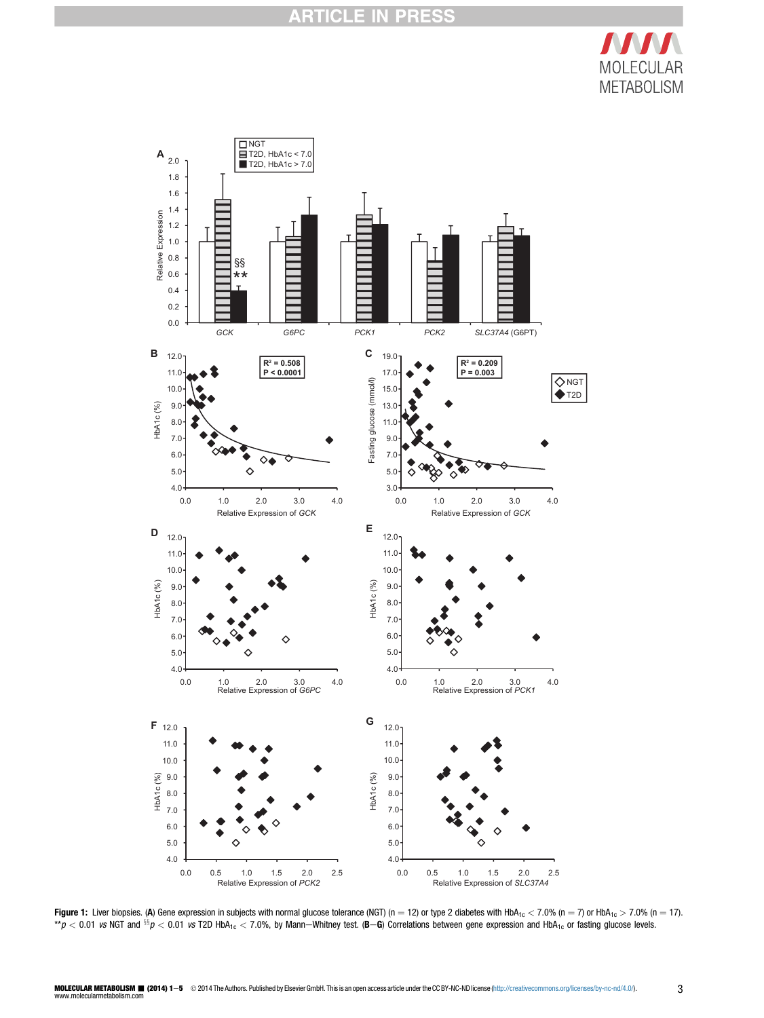

<span id="page-2-0"></span>

Figure 1: Liver biopsies. (A) Gene expression in subjects with normal glucose tolerance (NGT) (n = 12) or type 2 diabetes with HbA<sub>1c</sub>  $<$  7.0% (n = 7) or HbA<sub>1c</sub>  $>$  7.0% (n = 17).  $*p < 0.01$  vs NGT and  $\frac{\delta s}{p} < 0.01$  vs T2D HbA<sub>1c</sub> < 7.0%, by Mann-Whitney test. (B-G) Correlations between gene expression and HbA<sub>1c</sub> or fasting glucose levels.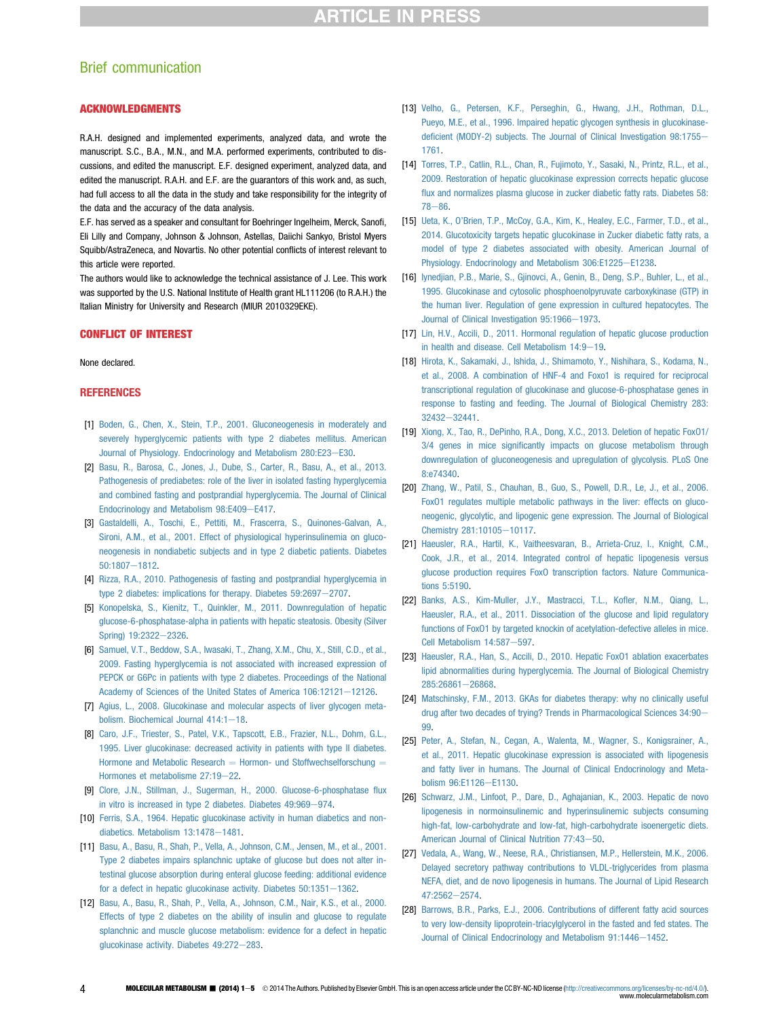## <span id="page-3-0"></span>Brief communication

#### ACKNOWLEDGMENTS

R.A.H. designed and implemented experiments, analyzed data, and wrote the manuscript. S.C., B.A., M.N., and M.A. performed experiments, contributed to discussions, and edited the manuscript. E.F. designed experiment, analyzed data, and edited the manuscript. R.A.H. and E.F. are the guarantors of this work and, as such, had full access to all the data in the study and take responsibility for the integrity of the data and the accuracy of the data analysis.

E.F. has served as a speaker and consultant for Boehringer Ingelheim, Merck, Sanofi, Eli Lilly and Company, Johnson & Johnson, Astellas, Daiichi Sankyo, Bristol Myers Squibb/AstraZeneca, and Novartis. No other potential conflicts of interest relevant to this article were reported.

The authors would like to acknowledge the technical assistance of J. Lee. This work was supported by the U.S. National Institute of Health grant HL111206 (to R.A.H.) the Italian Ministry for University and Research (MIUR 2010329EKE).

#### CONFLICT OF INTEREST

#### None declared.

#### **REFERENCES**

- [1] [Boden, G., Chen, X., Stein, T.P., 2001. Gluconeogenesis in moderately and](http://refhub.elsevier.com/S2212-8778(14)00208-7/sref1) [severely hyperglycemic patients with type 2 diabetes mellitus. American](http://refhub.elsevier.com/S2212-8778(14)00208-7/sref1) [Journal of Physiology. Endocrinology and Metabolism 280:E23](http://refhub.elsevier.com/S2212-8778(14)00208-7/sref1)-[E30](http://refhub.elsevier.com/S2212-8778(14)00208-7/sref1).
- [2] [Basu, R., Barosa, C., Jones, J., Dube, S., Carter, R., Basu, A., et al., 2013.](http://refhub.elsevier.com/S2212-8778(14)00208-7/sref2) [Pathogenesis of prediabetes: role of the liver in isolated fasting hyperglycemia](http://refhub.elsevier.com/S2212-8778(14)00208-7/sref2) [and combined fasting and postprandial hyperglycemia. The Journal of Clinical](http://refhub.elsevier.com/S2212-8778(14)00208-7/sref2) [Endocrinology and Metabolism 98:E409](http://refhub.elsevier.com/S2212-8778(14)00208-7/sref2)-[E417](http://refhub.elsevier.com/S2212-8778(14)00208-7/sref2).
- [3] [Gastaldelli, A., Toschi, E., Pettiti, M., Frascerra, S., Quinones-Galvan, A.,](http://refhub.elsevier.com/S2212-8778(14)00208-7/sref3) [Sironi, A.M., et al., 2001. Effect of physiological hyperinsulinemia on gluco](http://refhub.elsevier.com/S2212-8778(14)00208-7/sref3)[neogenesis in nondiabetic subjects and in type 2 diabetic patients. Diabetes](http://refhub.elsevier.com/S2212-8778(14)00208-7/sref3) [50:1807](http://refhub.elsevier.com/S2212-8778(14)00208-7/sref3)-[1812](http://refhub.elsevier.com/S2212-8778(14)00208-7/sref3).
- [4] [Rizza, R.A., 2010. Pathogenesis of fasting and postprandial hyperglycemia in](http://refhub.elsevier.com/S2212-8778(14)00208-7/sref4) [type 2 diabetes: implications for therapy. Diabetes 59:2697](http://refhub.elsevier.com/S2212-8778(14)00208-7/sref4)-[2707.](http://refhub.elsevier.com/S2212-8778(14)00208-7/sref4)
- [5] [Konopelska, S., Kienitz, T., Quinkler, M., 2011. Downregulation of hepatic](http://refhub.elsevier.com/S2212-8778(14)00208-7/sref5) [glucose-6-phosphatase-alpha in patients with hepatic steatosis. Obesity \(Silver](http://refhub.elsevier.com/S2212-8778(14)00208-7/sref5) [Spring\) 19:2322](http://refhub.elsevier.com/S2212-8778(14)00208-7/sref5)-[2326](http://refhub.elsevier.com/S2212-8778(14)00208-7/sref5).
- [6] [Samuel, V.T., Beddow, S.A., Iwasaki, T., Zhang, X.M., Chu, X., Still, C.D., et al.,](http://refhub.elsevier.com/S2212-8778(14)00208-7/sref6) [2009. Fasting hyperglycemia is not associated with increased expression of](http://refhub.elsevier.com/S2212-8778(14)00208-7/sref6) [PEPCK or G6Pc in patients with type 2 diabetes. Proceedings of the National](http://refhub.elsevier.com/S2212-8778(14)00208-7/sref6) [Academy of Sciences of the United States of America 106:12121](http://refhub.elsevier.com/S2212-8778(14)00208-7/sref6)-[12126.](http://refhub.elsevier.com/S2212-8778(14)00208-7/sref6)
- [7] [Agius, L., 2008. Glucokinase and molecular aspects of liver glycogen meta](http://refhub.elsevier.com/S2212-8778(14)00208-7/sref7)[bolism. Biochemical Journal 414:1](http://refhub.elsevier.com/S2212-8778(14)00208-7/sref7)-[18](http://refhub.elsevier.com/S2212-8778(14)00208-7/sref7).
- [8] [Caro, J.F., Triester, S., Patel, V.K., Tapscott, E.B., Frazier, N.L., Dohm, G.L.,](http://refhub.elsevier.com/S2212-8778(14)00208-7/sref8) [1995. Liver glucokinase: decreased activity in patients with type II diabetes.](http://refhub.elsevier.com/S2212-8778(14)00208-7/sref8) [Hormone and Metabolic Research](http://refhub.elsevier.com/S2212-8778(14)00208-7/sref8)  $=$  [Hormon- und Stoffwechselforschung](http://refhub.elsevier.com/S2212-8778(14)00208-7/sref8)  $=$ [Hormones et metabolisme 27:19](http://refhub.elsevier.com/S2212-8778(14)00208-7/sref8)-[22](http://refhub.elsevier.com/S2212-8778(14)00208-7/sref8).
- [9] [Clore, J.N., Stillman, J., Sugerman, H., 2000. Glucose-6-phosphatase](http://refhub.elsevier.com/S2212-8778(14)00208-7/sref9) flux [in vitro is increased in type 2 diabetes. Diabetes 49:969](http://refhub.elsevier.com/S2212-8778(14)00208-7/sref9)-[974](http://refhub.elsevier.com/S2212-8778(14)00208-7/sref9).
- [10] [Ferris, S.A., 1964. Hepatic glucokinase activity in human diabetics and non](http://refhub.elsevier.com/S2212-8778(14)00208-7/sref10)[diabetics. Metabolism 13:1478](http://refhub.elsevier.com/S2212-8778(14)00208-7/sref10)-[1481](http://refhub.elsevier.com/S2212-8778(14)00208-7/sref10).
- [11] [Basu, A., Basu, R., Shah, P., Vella, A., Johnson, C.M., Jensen, M., et al., 2001.](http://refhub.elsevier.com/S2212-8778(14)00208-7/sref11) [Type 2 diabetes impairs splanchnic uptake of glucose but does not alter in](http://refhub.elsevier.com/S2212-8778(14)00208-7/sref11)[testinal glucose absorption during enteral glucose feeding: additional evidence](http://refhub.elsevier.com/S2212-8778(14)00208-7/sref11) for a defect in hepatic glucokinase activity. Diabetes  $50:1351-1362$ .
- [12] [Basu, A., Basu, R., Shah, P., Vella, A., Johnson, C.M., Nair, K.S., et al., 2000.](http://refhub.elsevier.com/S2212-8778(14)00208-7/sref12) [Effects of type 2 diabetes on the ability of insulin and glucose to regulate](http://refhub.elsevier.com/S2212-8778(14)00208-7/sref12) [splanchnic and muscle glucose metabolism: evidence for a defect in hepatic](http://refhub.elsevier.com/S2212-8778(14)00208-7/sref12) [glucokinase activity. Diabetes 49:272](http://refhub.elsevier.com/S2212-8778(14)00208-7/sref12)-[283](http://refhub.elsevier.com/S2212-8778(14)00208-7/sref12).
- [13] [Velho, G., Petersen, K.F., Perseghin, G., Hwang, J.H., Rothman, D.L.,](http://refhub.elsevier.com/S2212-8778(14)00208-7/sref13) [Pueyo, M.E., et al., 1996. Impaired hepatic glycogen synthesis in glucokinase](http://refhub.elsevier.com/S2212-8778(14)00208-7/sref13)defi[cient \(MODY-2\) subjects. The Journal of Clinical Investigation 98:1755](http://refhub.elsevier.com/S2212-8778(14)00208-7/sref13)-[1761.](http://refhub.elsevier.com/S2212-8778(14)00208-7/sref13)
- [14] [Torres, T.P., Catlin, R.L., Chan, R., Fujimoto, Y., Sasaki, N., Printz, R.L., et al.,](http://refhub.elsevier.com/S2212-8778(14)00208-7/sref14) [2009. Restoration of hepatic glucokinase expression corrects hepatic glucose](http://refhub.elsevier.com/S2212-8778(14)00208-7/sref14) fl[ux and normalizes plasma glucose in zucker diabetic fatty rats. Diabetes 58:](http://refhub.elsevier.com/S2212-8778(14)00208-7/sref14) [78](http://refhub.elsevier.com/S2212-8778(14)00208-7/sref14)-86
- [15] Ueta, K., O'[Brien, T.P., McCoy, G.A., Kim, K., Healey, E.C., Farmer, T.D., et al.,](http://refhub.elsevier.com/S2212-8778(14)00208-7/sref15) [2014. Glucotoxicity targets hepatic glucokinase in Zucker diabetic fatty rats, a](http://refhub.elsevier.com/S2212-8778(14)00208-7/sref15) [model of type 2 diabetes associated with obesity. American Journal of](http://refhub.elsevier.com/S2212-8778(14)00208-7/sref15) [Physiology. Endocrinology and Metabolism 306:E1225](http://refhub.elsevier.com/S2212-8778(14)00208-7/sref15)-[E1238](http://refhub.elsevier.com/S2212-8778(14)00208-7/sref15).
- [16] [Iynedjian, P.B., Marie, S., Gjinovci, A., Genin, B., Deng, S.P., Buhler, L., et al.,](http://refhub.elsevier.com/S2212-8778(14)00208-7/sref16) [1995. Glucokinase and cytosolic phosphoenolpyruvate carboxykinase \(GTP\) in](http://refhub.elsevier.com/S2212-8778(14)00208-7/sref16) [the human liver. Regulation of gene expression in cultured hepatocytes. The](http://refhub.elsevier.com/S2212-8778(14)00208-7/sref16) [Journal of Clinical Investigation 95:1966](http://refhub.elsevier.com/S2212-8778(14)00208-7/sref16)-[1973](http://refhub.elsevier.com/S2212-8778(14)00208-7/sref16).
- [17] [Lin, H.V., Accili, D., 2011. Hormonal regulation of hepatic glucose production](http://refhub.elsevier.com/S2212-8778(14)00208-7/sref17) in health and disease. Cell Metabolism  $14:9-19$ .
- [18] [Hirota, K., Sakamaki, J., Ishida, J., Shimamoto, Y., Nishihara, S., Kodama, N.,](http://refhub.elsevier.com/S2212-8778(14)00208-7/sref18) [et al., 2008. A combination of HNF-4 and Foxo1 is required for reciprocal](http://refhub.elsevier.com/S2212-8778(14)00208-7/sref18) [transcriptional regulation of glucokinase and glucose-6-phosphatase genes in](http://refhub.elsevier.com/S2212-8778(14)00208-7/sref18) [response to fasting and feeding. The Journal of Biological Chemistry 283:](http://refhub.elsevier.com/S2212-8778(14)00208-7/sref18) [32432](http://refhub.elsevier.com/S2212-8778(14)00208-7/sref18)-32441
- [19] [Xiong, X., Tao, R., DePinho, R.A., Dong, X.C., 2013. Deletion of hepatic FoxO1/](http://refhub.elsevier.com/S2212-8778(14)00208-7/sref19) 3/4 genes in mice signifi[cantly impacts on glucose metabolism through](http://refhub.elsevier.com/S2212-8778(14)00208-7/sref19) [downregulation of gluconeogenesis and upregulation of glycolysis. PLoS One](http://refhub.elsevier.com/S2212-8778(14)00208-7/sref19) [8:e74340](http://refhub.elsevier.com/S2212-8778(14)00208-7/sref19).
- [20] [Zhang, W., Patil, S., Chauhan, B., Guo, S., Powell, D.R., Le, J., et al., 2006.](http://refhub.elsevier.com/S2212-8778(14)00208-7/sref20) [FoxO1 regulates multiple metabolic pathways in the liver: effects on gluco](http://refhub.elsevier.com/S2212-8778(14)00208-7/sref20)[neogenic, glycolytic, and lipogenic gene expression. The Journal of Biological](http://refhub.elsevier.com/S2212-8778(14)00208-7/sref20) [Chemistry 281:10105](http://refhub.elsevier.com/S2212-8778(14)00208-7/sref20)-[10117](http://refhub.elsevier.com/S2212-8778(14)00208-7/sref20).
- [21] [Haeusler, R.A., Hartil, K., Vaitheesvaran, B., Arrieta-Cruz, I., Knight, C.M.,](http://refhub.elsevier.com/S2212-8778(14)00208-7/sref21) [Cook, J.R., et al., 2014. Integrated control of hepatic lipogenesis versus](http://refhub.elsevier.com/S2212-8778(14)00208-7/sref21) [glucose production requires FoxO transcription factors. Nature Communica](http://refhub.elsevier.com/S2212-8778(14)00208-7/sref21)[tions 5:5190](http://refhub.elsevier.com/S2212-8778(14)00208-7/sref21).
- [22] [Banks, A.S., Kim-Muller, J.Y., Mastracci, T.L., Ko](http://refhub.elsevier.com/S2212-8778(14)00208-7/sref22)fler, N.M., Qiang, L., [Haeusler, R.A., et al., 2011. Dissociation of the glucose and lipid regulatory](http://refhub.elsevier.com/S2212-8778(14)00208-7/sref22) [functions of FoxO1 by targeted knockin of acetylation-defective alleles in mice.](http://refhub.elsevier.com/S2212-8778(14)00208-7/sref22) [Cell Metabolism 14:587](http://refhub.elsevier.com/S2212-8778(14)00208-7/sref22)-[597.](http://refhub.elsevier.com/S2212-8778(14)00208-7/sref22)
- [23] [Haeusler, R.A., Han, S., Accili, D., 2010. Hepatic FoxO1 ablation exacerbates](http://refhub.elsevier.com/S2212-8778(14)00208-7/sref23) [lipid abnormalities during hyperglycemia. The Journal of Biological Chemistry](http://refhub.elsevier.com/S2212-8778(14)00208-7/sref23) [285:26861](http://refhub.elsevier.com/S2212-8778(14)00208-7/sref23)-[26868.](http://refhub.elsevier.com/S2212-8778(14)00208-7/sref23)
- [24] [Matschinsky, F.M., 2013. GKAs for diabetes therapy: why no clinically useful](http://refhub.elsevier.com/S2212-8778(14)00208-7/sref24) [drug after two decades of trying? Trends in Pharmacological Sciences 34:90](http://refhub.elsevier.com/S2212-8778(14)00208-7/sref24)-[99](http://refhub.elsevier.com/S2212-8778(14)00208-7/sref24).
- [25] [Peter, A., Stefan, N., Cegan, A., Walenta, M., Wagner, S., Konigsrainer, A.,](http://refhub.elsevier.com/S2212-8778(14)00208-7/sref25) [et al., 2011. Hepatic glucokinase expression is associated with lipogenesis](http://refhub.elsevier.com/S2212-8778(14)00208-7/sref25) [and fatty liver in humans. The Journal of Clinical Endocrinology and Meta](http://refhub.elsevier.com/S2212-8778(14)00208-7/sref25)[bolism 96:E1126](http://refhub.elsevier.com/S2212-8778(14)00208-7/sref25)-[E1130](http://refhub.elsevier.com/S2212-8778(14)00208-7/sref25).
- [26] [Schwarz, J.M., Linfoot, P., Dare, D., Aghajanian, K., 2003. Hepatic de novo](http://refhub.elsevier.com/S2212-8778(14)00208-7/sref26) [lipogenesis in normoinsulinemic and hyperinsulinemic subjects consuming](http://refhub.elsevier.com/S2212-8778(14)00208-7/sref26) [high-fat, low-carbohydrate and low-fat, high-carbohydrate isoenergetic diets.](http://refhub.elsevier.com/S2212-8778(14)00208-7/sref26) [American Journal of Clinical Nutrition 77:43](http://refhub.elsevier.com/S2212-8778(14)00208-7/sref26)-[50](http://refhub.elsevier.com/S2212-8778(14)00208-7/sref26).
- [27] [Vedala, A., Wang, W., Neese, R.A., Christiansen, M.P., Hellerstein, M.K., 2006.](http://refhub.elsevier.com/S2212-8778(14)00208-7/sref27) [Delayed secretory pathway contributions to VLDL-triglycerides from plasma](http://refhub.elsevier.com/S2212-8778(14)00208-7/sref27) [NEFA, diet, and de novo lipogenesis in humans. The Journal of Lipid Research](http://refhub.elsevier.com/S2212-8778(14)00208-7/sref27) [47:2562](http://refhub.elsevier.com/S2212-8778(14)00208-7/sref27)-[2574.](http://refhub.elsevier.com/S2212-8778(14)00208-7/sref27)
- [28] [Barrows, B.R., Parks, E.J., 2006. Contributions of different fatty acid sources](http://refhub.elsevier.com/S2212-8778(14)00208-7/sref28) [to very low-density lipoprotein-triacylglycerol in the fasted and fed states. The](http://refhub.elsevier.com/S2212-8778(14)00208-7/sref28) [Journal of Clinical Endocrinology and Metabolism 91:1446](http://refhub.elsevier.com/S2212-8778(14)00208-7/sref28)-[1452](http://refhub.elsevier.com/S2212-8778(14)00208-7/sref28).